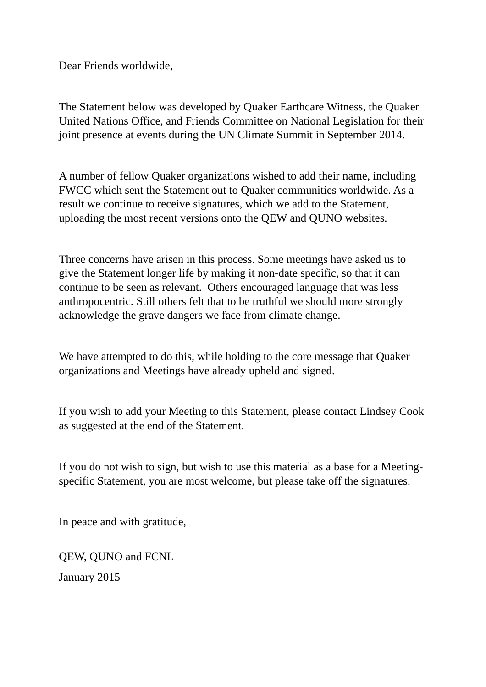Dear Friends worldwide,

The Statement below was developed by Quaker Earthcare Witness, the Quaker United Nations Office, and Friends Committee on National Legislation for their joint presence at events during the UN Climate Summit in September 2014.

A number of fellow Quaker organizations wished to add their name, including FWCC which sent the Statement out to Quaker communities worldwide. As a result we continue to receive signatures, which we add to the Statement, uploading the most recent versions onto the QEW and QUNO websites.

Three concerns have arisen in this process. Some meetings have asked us to give the Statement longer life by making it non-date specific, so that it can continue to be seen as relevant. Others encouraged language that was less anthropocentric. Still others felt that to be truthful we should more strongly acknowledge the grave dangers we face from climate change.

We have attempted to do this, while holding to the core message that Quaker organizations and Meetings have already upheld and signed.

If you wish to add your Meeting to this Statement, please contact Lindsey Cook as suggested at the end of the Statement.

If you do not wish to sign, but wish to use this material as a base for a Meetingspecific Statement, you are most welcome, but please take off the signatures.

In peace and with gratitude,

QEW, QUNO and FCNL

January 2015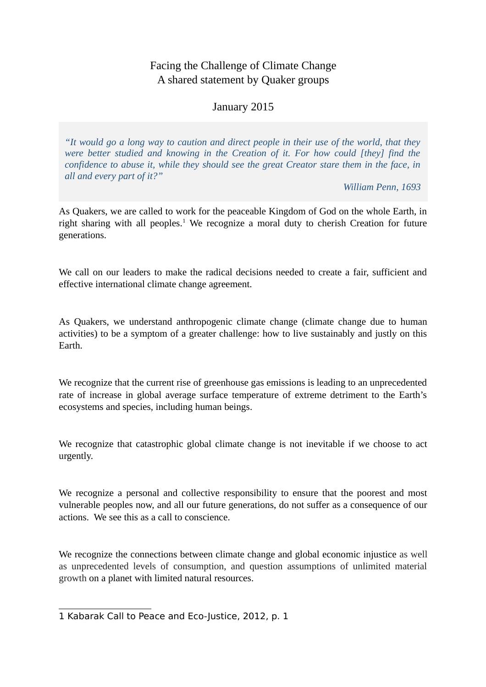## Facing the Challenge of Climate Change A shared statement by Quaker groups

## January 2015

*"It would go a long way to caution and direct people in their use of the world, that they were better studied and knowing in the Creation of it. For how could [they] find the confidence to abuse it, while they should see the great Creator stare them in the face, in all and every part of it?"*

*William Penn, 1693*

As Quakers, we are called to work for the peaceable Kingdom of God on the whole Earth, in right sharing with all peoples.<sup>[1](#page-1-0)</sup> We recognize a moral duty to cherish Creation for future generations.

We call on our leaders to make the radical decisions needed to create a fair, sufficient and effective international climate change agreement.

As Quakers, we understand anthropogenic climate change (climate change due to human activities) to be a symptom of a greater challenge: how to live sustainably and justly on this Earth.

We recognize that the current rise of greenhouse gas emissions is leading to an unprecedented rate of increase in global average surface temperature of extreme detriment to the Earth's ecosystems and species, including human beings.

We recognize that catastrophic global climate change is not inevitable if we choose to act urgently.

We recognize a personal and collective responsibility to ensure that the poorest and most vulnerable peoples now, and all our future generations, do not suffer as a consequence of our actions. We see this as a call to conscience.

We recognize the connections between climate change and global economic injustice as well as unprecedented levels of consumption, and question assumptions of unlimited material growth on a planet with limited natural resources.

<span id="page-1-0"></span><sup>1</sup> Kabarak Call to Peace and Eco-Justice, 2012, p. 1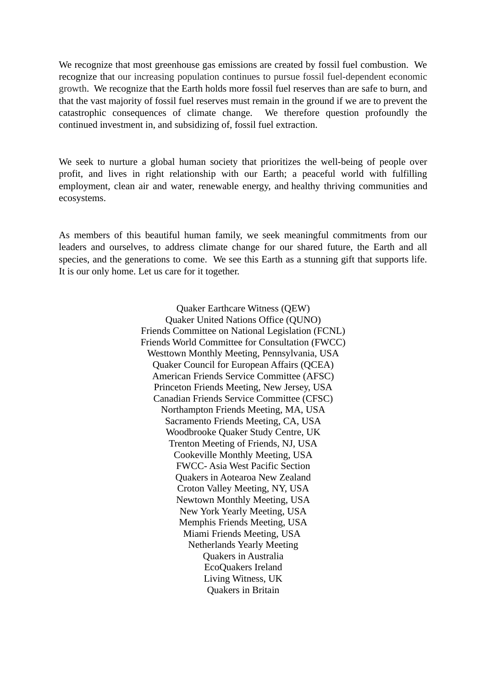We recognize that most greenhouse gas emissions are created by fossil fuel combustion. We recognize that our increasing population continues to pursue fossil fuel-dependent economic growth. We recognize that the Earth holds more fossil fuel reserves than are safe to burn, and that the vast majority of fossil fuel reserves must remain in the ground if we are to prevent the catastrophic consequences of climate change. We therefore question profoundly the continued investment in, and subsidizing of, fossil fuel extraction.

We seek to nurture a global human society that prioritizes the well-being of people over profit, and lives in right relationship with our Earth; a peaceful world with fulfilling employment, clean air and water, renewable energy, and healthy thriving communities and ecosystems.

As members of this beautiful human family, we seek meaningful commitments from our leaders and ourselves, to address climate change for our shared future, the Earth and all species, and the generations to come. We see this Earth as a stunning gift that supports life. It is our only home. Let us care for it together.

> Quaker Earthcare Witness (QEW) Quaker United Nations Office (QUNO) Friends Committee on National Legislation (FCNL) Friends World Committee for Consultation (FWCC) Westtown Monthly Meeting, Pennsylvania, USA Quaker Council for European Affairs (QCEA) American Friends Service Committee (AFSC) Princeton Friends Meeting, New Jersey, USA Canadian Friends Service Committee (CFSC) Northampton Friends Meeting, MA, USA Sacramento Friends Meeting, CA, USA Woodbrooke Quaker Study Centre, UK Trenton Meeting of Friends, NJ, USA Cookeville Monthly Meeting, USA FWCC- Asia West Pacific Section Quakers in Aotearoa New Zealand Croton Valley Meeting, NY, USA Newtown Monthly Meeting, USA New York Yearly Meeting, USA Memphis Friends Meeting, USA Miami Friends Meeting, USA Netherlands Yearly Meeting Quakers in Australia EcoQuakers Ireland Living Witness, UK Quakers in Britain